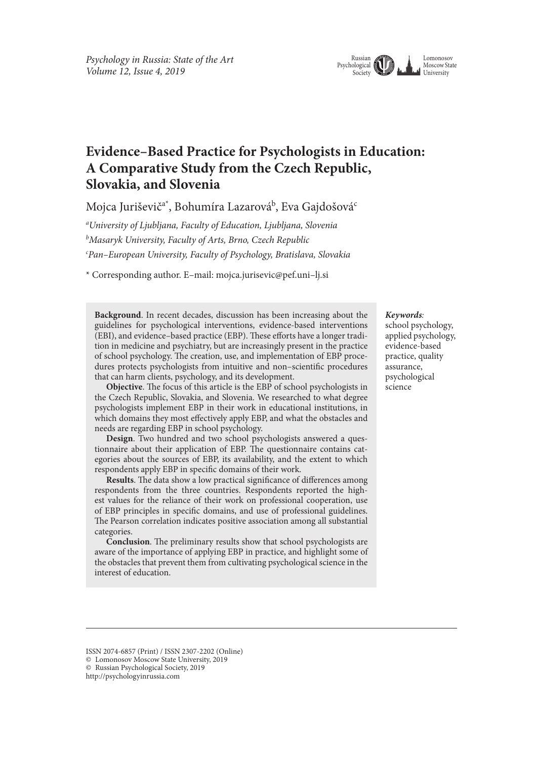

## **Evidence–Based Practice for Psychologists in Education: A Comparative Study from the Czech Republic, Slovakia, and Slovenia**

Mojca Juriševič<sup>a\*</sup>, Bohumíra Lazarová<sup>b</sup>, Eva Gajdošová<sup>c</sup>

*a University of Ljubljana, Faculty of Education, Ljubljana, Slovenia b Masaryk University, Faculty of Arts, Brno, Czech Republic c Pan–European University, Faculty of Psychology, Bratislava, Slovakia*

\* Corresponding author. E–mail: mojca.jurisevic@pef.uni–lj.si

**Background**. In recent decades, discussion has been increasing about the guidelines for psychological interventions, evidence-based interventions (EBI), and evidence-based practice (EBP). These efforts have a longer tradition in medicine and psychiatry, but are increasingly present in the practice of school psychology. The creation, use, and implementation of EBP procedures protects psychologists from intuitive and non–scientifc procedures that can harm clients, psychology, and its development.

**Objective**. The focus of this article is the EBP of school psychologists in the Czech Republic, Slovakia, and Slovenia. We researched to what degree psychologists implement EBP in their work in educational institutions, in which domains they most efectively apply EBP, and what the obstacles and needs are regarding EBP in school psychology.

**Design**. Two hundred and two school psychologists answered a questionnaire about their application of EBP. The questionnaire contains categories about the sources of EBP, its availability, and the extent to which respondents apply EBP in specifc domains of their work.

**Results**. The data show a low practical significance of differences among respondents from the three countries. Respondents reported the highest values for the reliance of their work on professional cooperation, use of EBP principles in specifc domains, and use of professional guidelines. The Pearson correlation indicates positive association among all substantial categories.

**Conclusion**. The preliminary results show that school psychologists are aware of the importance of applying EBP in practice, and highlight some of the obstacles that prevent them from cultivating psychological science in the interest of education.

#### *Keywords:*

school psychology, applied psychology, evidence-based practice, quality assurance, psychological science

ISSN 2074-6857 (Print) / ISSN 2307-2202 (Online) © Lomonosov Moscow State University, 2019

<sup>©</sup> Russian Psychological Society, 2019

http://psychologyinrussia.com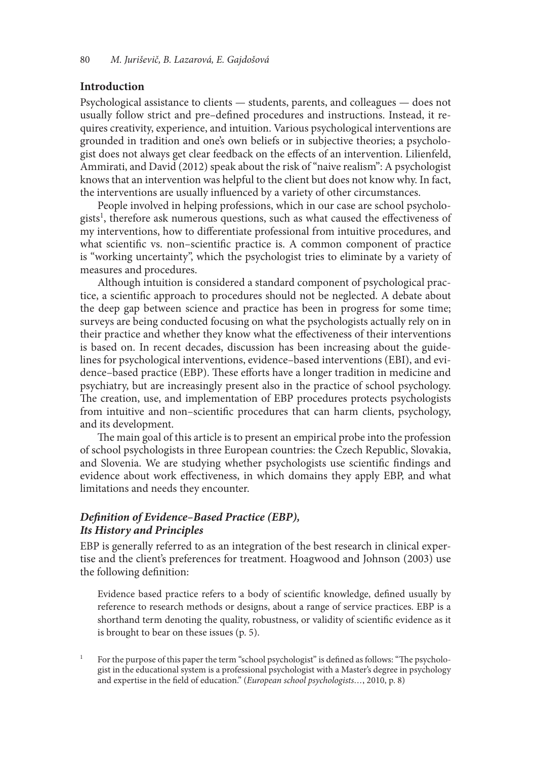#### **Introduction**

Psychological assistance to clients — students, parents, and colleagues — does not usually follow strict and pre–defned procedures and instructions. Instead, it requires creativity, experience, and intuition. Various psychological interventions are grounded in tradition and one's own beliefs or in subjective theories; a psychologist does not always get clear feedback on the efects of an intervention. Lilienfeld, Ammirati, and David (2012) speak about the risk of "naive realism": A psychologist knows that an intervention was helpful to the client but does not know why. In fact, the interventions are usually infuenced by a variety of other circumstances.

People involved in helping professions, which in our case are school psychologists<sup>1</sup>, therefore ask numerous questions, such as what caused the effectiveness of my interventions, how to diferentiate professional from intuitive procedures, and what scientific vs. non–scientific practice is. A common component of practice is "working uncertainty", which the psychologist tries to eliminate by a variety of measures and procedures.

Although intuition is considered a standard component of psychological practice, a scientifc approach to procedures should not be neglected. A debate about the deep gap between science and practice has been in progress for some time; surveys are being conducted focusing on what the psychologists actually rely on in their practice and whether they know what the efectiveness of their interventions is based on. In recent decades, discussion has been increasing about the guidelines for psychological interventions, evidence–based interventions (EBI), and evidence–based practice (EBP). These efforts have a longer tradition in medicine and psychiatry, but are increasingly present also in the practice of school psychology. The creation, use, and implementation of EBP procedures protects psychologists from intuitive and non–scientifc procedures that can harm clients, psychology, and its development.

The main goal of this article is to present an empirical probe into the profession of school psychologists in three European countries: the Czech Republic, Slovakia, and Slovenia. We are studying whether psychologists use scientifc fndings and evidence about work efectiveness, in which domains they apply EBP, and what limitations and needs they encounter.

## *De***f***nition of Evidence–Based Practice (EBP), Its History and Principles*

EBP is generally referred to as an integration of the best research in clinical expertise and the client's preferences for treatment. Hoagwood and Johnson (2003) use the following defnition:

Evidence based practice refers to a body of scientifc knowledge, defned usually by reference to research methods or designs, about a range of service practices. EBP is a shorthand term denoting the quality, robustness, or validity of scientifc evidence as it is brought to bear on these issues (p. 5).

1 For the purpose of this paper the term "school psychologist" is defined as follows: "The psychologist in the educational system is a professional psychologist with a Master's degree in psychology and expertise in the feld of education." (*European school psychologists…*, 2010, p. 8)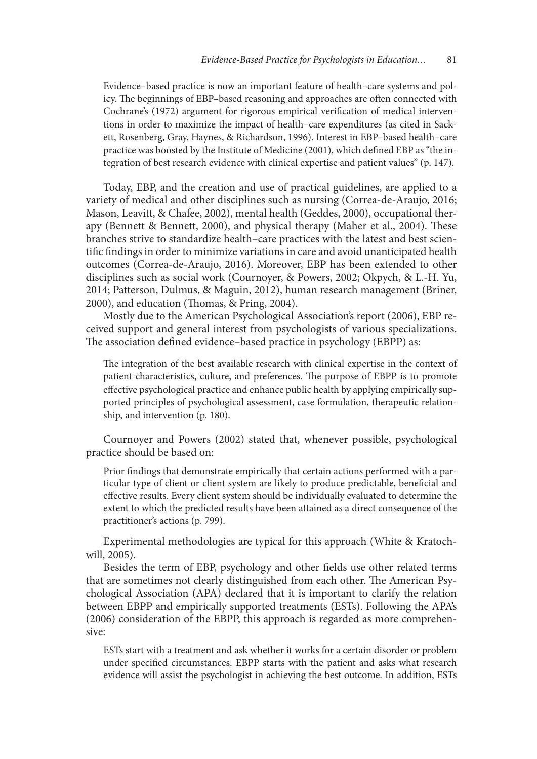Evidence–based practice is now an important feature of health–care systems and policy. The beginnings of EBP-based reasoning and approaches are often connected with Cochrane's (1972) argument for rigorous empirical verifcation of medical interventions in order to maximize the impact of health–care expenditures (as cited in Sackett, Rosenberg, Gray, Haynes, & Richardson, 1996). Interest in EBP–based health–care practice was boosted by the Institute of Medicine (2001), which defned EBP as "the integration of best research evidence with clinical expertise and patient values" (p. 147).

Today, EBP, and the creation and use of practical guidelines, are applied to a variety of medical and other disciplines such as nursing (Correa-de-Araujo, 2016; Mason, Leavitt, & Chafee, 2002), mental health (Geddes, 2000), occupational therapy (Bennett & Bennett, 2000), and physical therapy (Maher et al., 2004). These branches strive to standardize health–care practices with the latest and best scientifc fndings in order to minimize variations in care and avoid unanticipated health outcomes (Correa-de-Araujo, 2016). Moreover, EBP has been extended to other disciplines such as social work (Cournoyer, & Powers, 2002; Okpych, & L.-H. Yu, 2014; Patterson, Dulmus, & Maguin, 2012), human research management (Briner, 2000), and education (Thomas, & Pring, 2004).

Mostly due to the American Psychological Association's report (2006), EBP received support and general interest from psychologists of various specializations. The association defined evidence-based practice in psychology (EBPP) as:

The integration of the best available research with clinical expertise in the context of patient characteristics, culture, and preferences. The purpose of EBPP is to promote efective psychological practice and enhance public health by applying empirically supported principles of psychological assessment, case formulation, therapeutic relationship, and intervention (p. 180).

Cournoyer and Powers (2002) stated that, whenever possible, psychological practice should be based on:

Prior fndings that demonstrate empirically that certain actions performed with a particular type of client or client system are likely to produce predictable, benefcial and efective results. Every client system should be individually evaluated to determine the extent to which the predicted results have been attained as a direct consequence of the practitioner's actions (p. 799).

Experimental methodologies are typical for this approach (White & Kratochwill, 2005).

Besides the term of EBP, psychology and other felds use other related terms that are sometimes not clearly distinguished from each other. The American Psychological Association (APA) declared that it is important to clarify the relation between EBPP and empirically supported treatments (ESTs). Following the APA's (2006) consideration of the EBPP, this approach is regarded as more comprehensive:

ESTs start with a treatment and ask whether it works for a certain disorder or problem under specifed circumstances. EBPP starts with the patient and asks what research evidence will assist the psychologist in achieving the best outcome. In addition, ESTs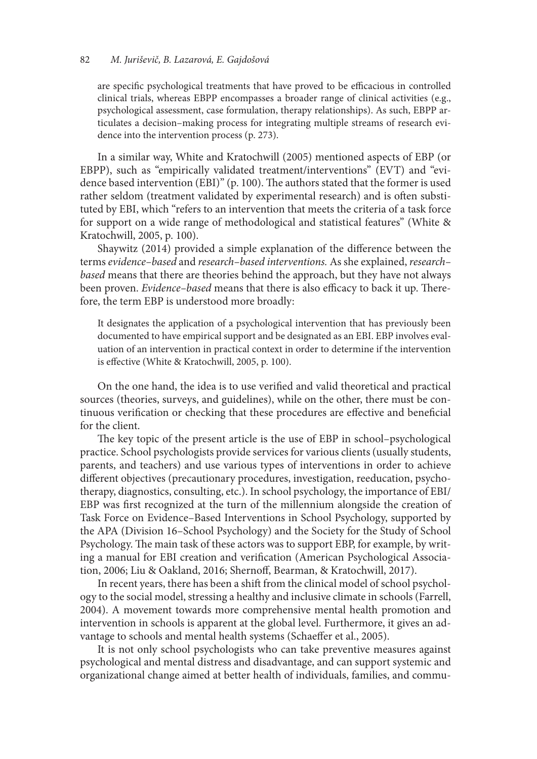#### 82 *M. Juri*š*evi*č*, B. Lazarová, E. Gajdo*š*ová*

are specific psychological treatments that have proved to be efficacious in controlled clinical trials, whereas EBPP encompasses a broader range of clinical activities (e.g., psychological assessment, case formulation, therapy relationships). As such, EBPP articulates a decision–making process for integrating multiple streams of research evidence into the intervention process (p. 273).

In a similar way, White and Kratochwill (2005) mentioned aspects of EBP (or EBPP), such as "empirically validated treatment/interventions" (EVT) and "evidence based intervention (EBI)" (p. 100). The authors stated that the former is used rather seldom (treatment validated by experimental research) and is ofen substituted by EBI, which "refers to an intervention that meets the criteria of a task force for support on a wide range of methodological and statistical features" (White & Kratochwill, 2005, p. 100).

Shaywitz (2014) provided a simple explanation of the diference between the terms *evidence–based* and *research–based interventions.* As she explained, *research– based* means that there are theories behind the approach, but they have not always been proven. *Evidence–based* means that there is also efficacy to back it up. Therefore, the term EBP is understood more broadly:

It designates the application of a psychological intervention that has previously been documented to have empirical support and be designated as an EBI. EBP involves evaluation of an intervention in practical context in order to determine if the intervention is efective (White & Kratochwill, 2005, p. 100).

On the one hand, the idea is to use verifed and valid theoretical and practical sources (theories, surveys, and guidelines), while on the other, there must be continuous verifcation or checking that these procedures are efective and benefcial for the client.

The key topic of the present article is the use of EBP in school–psychological practice. School psychologists provide services for various clients (usually students, parents, and teachers) and use various types of interventions in order to achieve diferent objectives (precautionary procedures, investigation, reeducation, psychotherapy, diagnostics, consulting, etc.). In school psychology, the importance of EBI/ EBP was frst recognized at the turn of the millennium alongside the creation of Task Force on Evidence–Based Interventions in School Psychology, supported by the APA (Division 16–School Psychology) and the Society for the Study of School Psychology. The main task of these actors was to support EBP, for example, by writing a manual for EBI creation and verifcation (American Psychological Association, 2006; Liu & Oakland, 2016; Shernof, Bearman, & Kratochwill, 2017).

In recent years, there has been a shift from the clinical model of school psychology to the social model, stressing a healthy and inclusive climate in schools (Farrell, 2004). A movement towards more comprehensive mental health promotion and intervention in schools is apparent at the global level. Furthermore, it gives an advantage to schools and mental health systems (Schaeffer et al., 2005).

It is not only school psychologists who can take preventive measures against psychological and mental distress and disadvantage, and can support systemic and organizational change aimed at better health of individuals, families, and commu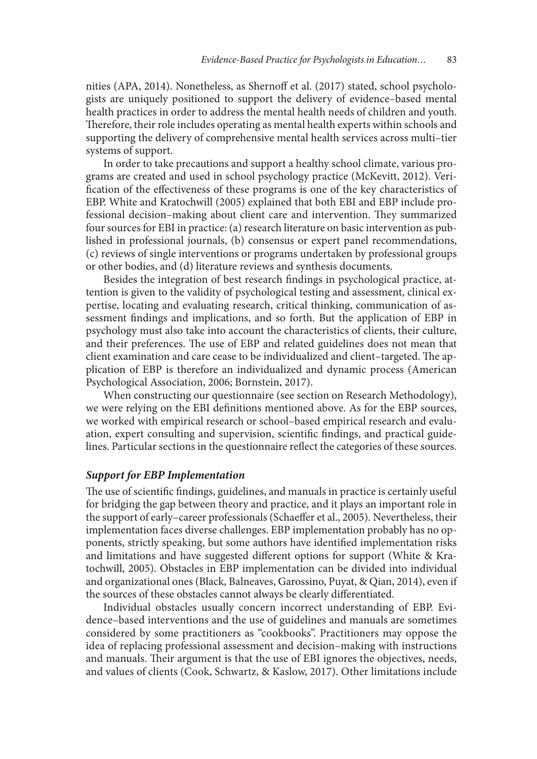nities (APA, 2014). Nonetheless, as Shernoff et al. (2017) stated, school psychologists are uniquely positioned to support the delivery of evidence–based mental health practices in order to address the mental health needs of children and youth. Therefore, their role includes operating as mental health experts within schools and supporting the delivery of comprehensive mental health services across multi–tier systems of support.

In order to take precautions and support a healthy school climate, various programs are created and used in school psychology practice (McKevitt, 2012). Verifcation of the efectiveness of these programs is one of the key characteristics of EBP. White and Kratochwill (2005) explained that both EBI and EBP include professional decision–making about client care and intervention. They summarized four sources for EBI in practice: (a) research literature on basic intervention as published in professional journals, (b) consensus or expert panel recommendations, (c) reviews of single interventions or programs undertaken by professional groups or other bodies, and (d) literature reviews and synthesis documents.

Besides the integration of best research fndings in psychological practice, attention is given to the validity of psychological testing and assessment, clinical expertise, locating and evaluating research, critical thinking, communication of assessment fndings and implications, and so forth. But the application of EBP in psychology must also take into account the characteristics of clients, their culture, and their preferences. The use of EBP and related guidelines does not mean that client examination and care cease to be individualized and client-targeted. The application of EBP is therefore an individualized and dynamic process (American Psychological Association, 2006; Bornstein, 2017).

When constructing our questionnaire (see section on Research Methodology), we were relying on the EBI defnitions mentioned above. As for the EBP sources, we worked with empirical research or school–based empirical research and evaluation, expert consulting and supervision, scientifc fndings, and practical guidelines. Particular sections in the questionnaire refect the categories of these sources.

#### *Support for EBP Implementation*

The use of scientific findings, guidelines, and manuals in practice is certainly useful for bridging the gap between theory and practice, and it plays an important role in the support of early–career professionals (Schaeffer et al., 2005). Nevertheless, their implementation faces diverse challenges. EBP implementation probably has no opponents, strictly speaking, but some authors have identifed implementation risks and limitations and have suggested diferent options for support (White & Kratochwill, 2005). Obstacles in EBP implementation can be divided into individual and organizational ones (Black, Balneaves, Garossino, Puyat, & Qian, 2014), even if the sources of these obstacles cannot always be clearly diferentiated.

Individual obstacles usually concern incorrect understanding of EBP. Evidence–based interventions and the use of guidelines and manuals are sometimes considered by some practitioners as "cookbooks". Practitioners may oppose the idea of replacing professional assessment and decision–making with instructions and manuals. Their argument is that the use of EBI ignores the objectives, needs, and values of clients (Cook, Schwartz, & Kaslow, 2017). Other limitations include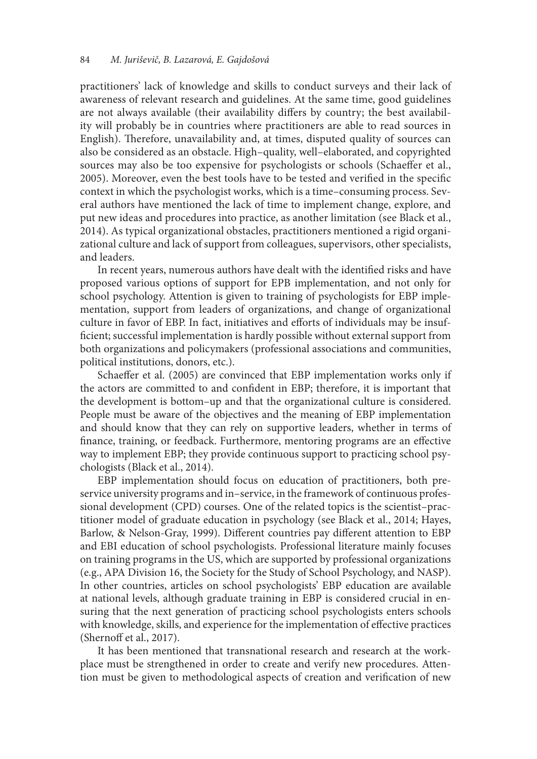practitioners' lack of knowledge and skills to conduct surveys and their lack of awareness of relevant research and guidelines. At the same time, good guidelines are not always available (their availability difers by country; the best availability will probably be in countries where practitioners are able to read sources in English). Therefore, unavailability and, at times, disputed quality of sources can also be considered as an obstacle. High–quality, well–elaborated, and copyrighted sources may also be too expensive for psychologists or schools (Schaeffer et al., 2005). Moreover, even the best tools have to be tested and verifed in the specifc context in which the psychologist works, which is a time–consuming process. Several authors have mentioned the lack of time to implement change, explore, and put new ideas and procedures into practice, as another limitation (see Black et al., 2014). As typical organizational obstacles, practitioners mentioned a rigid organizational culture and lack of support from colleagues, supervisors, other specialists, and leaders.

In recent years, numerous authors have dealt with the identifed risks and have proposed various options of support for EPB implementation, and not only for school psychology. Attention is given to training of psychologists for EBP implementation, support from leaders of organizations, and change of organizational culture in favor of EBP. In fact, initiatives and efforts of individuals may be insuffcient; successful implementation is hardly possible without external support from both organizations and policymakers (professional associations and communities, political institutions, donors, etc.).

Schaeffer et al. (2005) are convinced that EBP implementation works only if the actors are committed to and confdent in EBP; therefore, it is important that the development is bottom–up and that the organizational culture is considered. People must be aware of the objectives and the meaning of EBP implementation and should know that they can rely on supportive leaders, whether in terms of fnance, training, or feedback. Furthermore, mentoring programs are an efective way to implement EBP; they provide continuous support to practicing school psychologists (Black et al., 2014).

EBP implementation should focus on education of practitioners, both preservice university programs and in–service, in the framework of continuous professional development (CPD) courses. One of the related topics is the scientist–practitioner model of graduate education in psychology (see Black et al., 2014; Hayes, Barlow, & Nelson-Gray, 1999). Diferent countries pay diferent attention to EBP and EBI education of school psychologists. Professional literature mainly focuses on training programs in the US, which are supported by professional organizations (e.g., APA Division 16, the Society for the Study of School Psychology, and NASP). In other countries, articles on school psychologists' EBP education are available at national levels, although graduate training in EBP is considered crucial in ensuring that the next generation of practicing school psychologists enters schools with knowledge, skills, and experience for the implementation of efective practices (Shernoff et al., 2017).

It has been mentioned that transnational research and research at the workplace must be strengthened in order to create and verify new procedures. Attention must be given to methodological aspects of creation and verifcation of new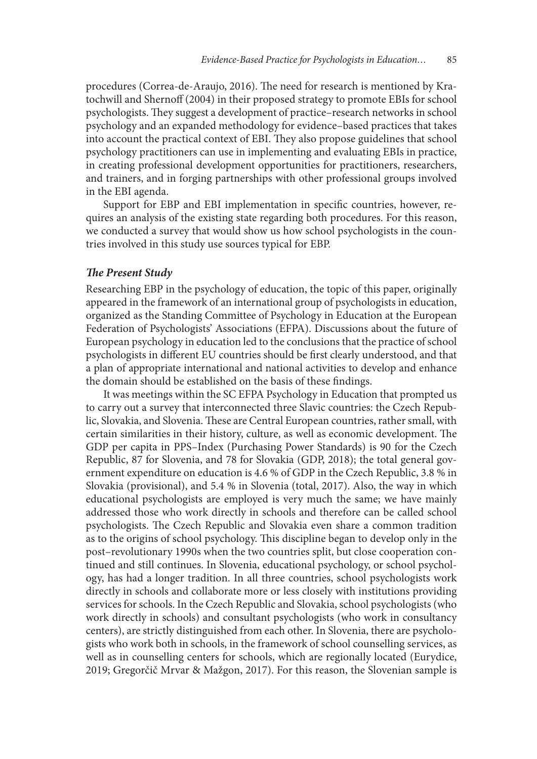procedures (Correa-de-Araujo, 2016). The need for research is mentioned by Kratochwill and Shernoff (2004) in their proposed strategy to promote EBIs for school psychologists. They suggest a development of practice–research networks in school psychology and an expanded methodology for evidence–based practices that takes into account the practical context of EBI. They also propose guidelines that school psychology practitioners can use in implementing and evaluating EBIs in practice, in creating professional development opportunities for practitioners, researchers, and trainers, and in forging partnerships with other professional groups involved in the EBI agenda.

Support for EBP and EBI implementation in specifc countries, however, requires an analysis of the existing state regarding both procedures. For this reason, we conducted a survey that would show us how school psychologists in the countries involved in this study use sources typical for EBP.

#### **The Present Study**

Researching EBP in the psychology of education, the topic of this paper, originally appeared in the framework of an international group of psychologists in education, organized as the Standing Committee of Psychology in Education at the European Federation of Psychologists' Associations (EFPA). Discussions about the future of European psychology in education led to the conclusions that the practice of school psychologists in diferent EU countries should be frst clearly understood, and that a plan of appropriate international and national activities to develop and enhance the domain should be established on the basis of these fndings.

It was meetings within the SC EFPA Psychology in Education that prompted us to carry out a survey that interconnected three Slavic countries: the Czech Republic, Slovakia, and Slovenia. These are Central European countries, rather small, with certain similarities in their history, culture, as well as economic development. The GDP per capita in PPS–Index (Purchasing Power Standards) is 90 for the Czech Republic, 87 for Slovenia, and 78 for Slovakia (GDP, 2018); the total general government expenditure on education is 4.6 % of GDP in the Czech Republic, 3.8 % in Slovakia (provisional), and 5.4 % in Slovenia (total, 2017). Also, the way in which educational psychologists are employed is very much the same; we have mainly addressed those who work directly in schools and therefore can be called school psychologists. The Czech Republic and Slovakia even share a common tradition as to the origins of school psychology. This discipline began to develop only in the post–revolutionary 1990s when the two countries split, but close cooperation continued and still continues. In Slovenia, educational psychology, or school psychology, has had a longer tradition. In all three countries, school psychologists work directly in schools and collaborate more or less closely with institutions providing services for schools. In the Czech Republic and Slovakia, school psychologists (who work directly in schools) and consultant psychologists (who work in consultancy centers), are strictly distinguished from each other. In Slovenia, there are psychologists who work both in schools, in the framework of school counselling services, as well as in counselling centers for schools, which are regionally located (Eurydice, 2019; Gregorčič Mrvar & Mažgon, 2017). For this reason, the Slovenian sample is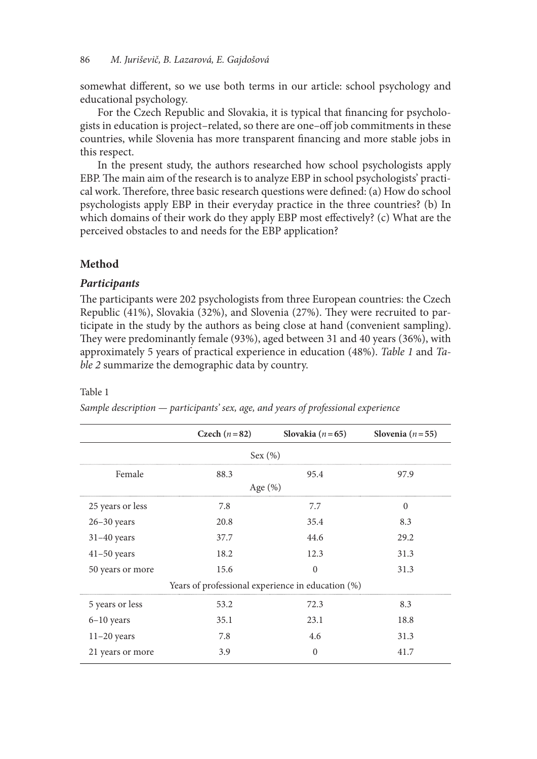somewhat diferent, so we use both terms in our article: school psychology and educational psychology.

For the Czech Republic and Slovakia, it is typical that fnancing for psychologists in education is project–related, so there are one–of job commitments in these countries, while Slovenia has more transparent fnancing and more stable jobs in this respect.

In the present study, the authors researched how school psychologists apply EBP. The main aim of the research is to analyze EBP in school psychologists' practical work. Therefore, three basic research questions were defined: (a) How do school psychologists apply EBP in their everyday practice in the three countries? (b) In which domains of their work do they apply EBP most efectively? (c) What are the perceived obstacles to and needs for the EBP application?

## **Method**

#### *Participants*

The participants were 202 psychologists from three European countries: the Czech Republic (41%), Slovakia (32%), and Slovenia (27%). They were recruited to participate in the study by the authors as being close at hand (convenient sampling). They were predominantly female (93%), aged between 31 and 40 years (36%), with approximately 5 years of practical experience in education (48%). *Table 1* and *Table 2* summarize the demographic data by country.

#### Table 1

|                                                   | Czech $(n=82)$ | Slovakia ( $n=65$ ) | Slovenia ( $n = 55$ ) |  |  |  |  |  |  |
|---------------------------------------------------|----------------|---------------------|-----------------------|--|--|--|--|--|--|
| Sex (%)                                           |                |                     |                       |  |  |  |  |  |  |
| Female                                            | 88.3           | 95.4                | 97.9                  |  |  |  |  |  |  |
| Age $(\%)$                                        |                |                     |                       |  |  |  |  |  |  |
| 25 years or less                                  | 7.8            | 7.7                 | $\Omega$              |  |  |  |  |  |  |
| $26 - 30$ years                                   | 20.8           | 35.4                | 8.3                   |  |  |  |  |  |  |
| $31-40$ years                                     | 37.7           | 44.6                | 29.2                  |  |  |  |  |  |  |
| $41-50$ years                                     | 18.2           | 12.3                | 31.3                  |  |  |  |  |  |  |
| 50 years or more                                  | 15.6           | $\Omega$            | 31.3                  |  |  |  |  |  |  |
| Years of professional experience in education (%) |                |                     |                       |  |  |  |  |  |  |
| 5 years or less                                   | 53.2           | 72.3                | 8.3                   |  |  |  |  |  |  |
| $6-10$ years                                      | 35.1           | 23.1                | 18.8                  |  |  |  |  |  |  |
| $11-20$ years                                     | 7.8            | 4.6                 | 31.3                  |  |  |  |  |  |  |
| 21 years or more                                  | 3.9            | $\Omega$            | 41.7                  |  |  |  |  |  |  |

*Sample description — participants' sex, age, and years of professional experience*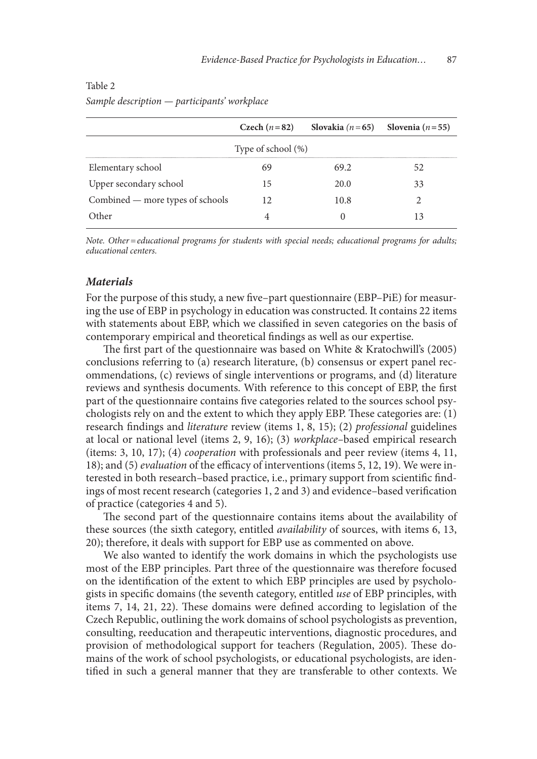|                                  |    | Czech $(n=82)$ Slovakia $(n=65)$ Slovenia $(n=55)$ |    |  |  |  |  |  |
|----------------------------------|----|----------------------------------------------------|----|--|--|--|--|--|
| Type of school $(\%)$            |    |                                                    |    |  |  |  |  |  |
| Elementary school                |    | 69.2                                               |    |  |  |  |  |  |
| Upper secondary school           | 15 | 20 O                                               | 33 |  |  |  |  |  |
| Combined — more types of schools | 12 | 10.8                                               |    |  |  |  |  |  |
| $h_{\text{h}e}$                  |    |                                                    |    |  |  |  |  |  |

## Table 2 *Sample description — participants' workplace*

*Note. Other=educational programs for students with special needs; educational programs for adults; educational centers.*

## *Materials*

For the purpose of this study, a new fve–part questionnaire (EBP–PiE) for measuring the use of EBP in psychology in education was constructed. It contains 22 items with statements about EBP, which we classifed in seven categories on the basis of contemporary empirical and theoretical fndings as well as our expertise.

The first part of the questionnaire was based on White & Kratochwill's (2005) conclusions referring to (a) research literature, (b) consensus or expert panel recommendations, (c) reviews of single interventions or programs, and (d) literature reviews and synthesis documents. With reference to this concept of EBP, the frst part of the questionnaire contains fve categories related to the sources school psychologists rely on and the extent to which they apply EBP. These categories are:  $(1)$ research fndings and *literature* review (items 1, 8, 15); (2) *professional* guidelines at local or national level (items 2, 9, 16); (3) *workplace–*based empirical research (items: 3, 10, 17); (4) *cooperation* with professionals and peer review (items 4, 11, 18); and (5) *evaluation* of the efficacy of interventions (items 5, 12, 19). We were interested in both research–based practice, i.e., primary support from scientifc fndings of most recent research (categories 1, 2 and 3) and evidence–based verifcation of practice (categories 4 and 5).

The second part of the questionnaire contains items about the availability of these sources (the sixth category, entitled *availability* of sources, with items 6, 13, 20); therefore, it deals with support for EBP use as commented on above.

We also wanted to identify the work domains in which the psychologists use most of the EBP principles. Part three of the questionnaire was therefore focused on the identifcation of the extent to which EBP principles are used by psychologists in specifc domains (the seventh category, entitled *use* of EBP principles, with items 7, 14, 21, 22). These domains were defined according to legislation of the Czech Republic, outlining the work domains of school psychologists as prevention, consulting, reeducation and therapeutic interventions, diagnostic procedures, and provision of methodological support for teachers (Regulation, 2005). These domains of the work of school psychologists, or educational psychologists, are identifed in such a general manner that they are transferable to other contexts. We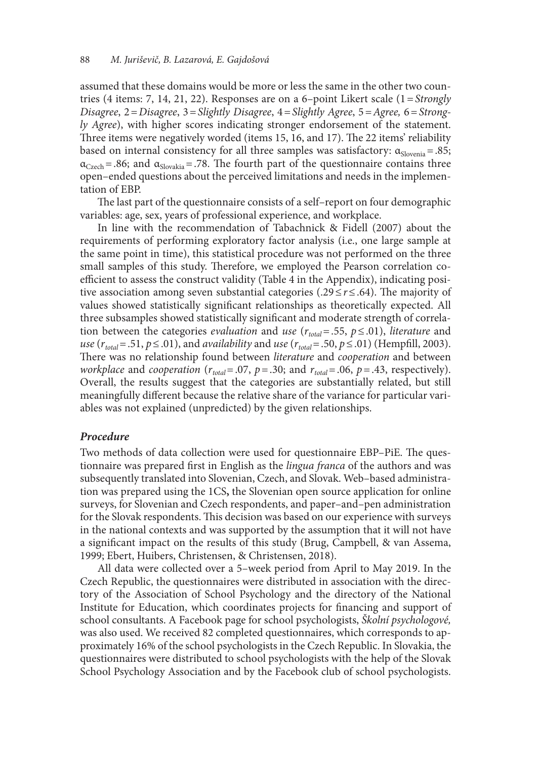assumed that these domains would be more or less the same in the other two countries (4 items: 7, 14, 21, 22). Responses are on a 6–point Likert scale (1=*Strongly Disagree*, 2=*Disagree*, 3=*Slightly Disagree*, 4=*Slightly Agree*, 5=*Agree,* 6=*Strongly Agree*), with higher scores indicating stronger endorsement of the statement. Three items were negatively worded (items 15, 16, and 17). The 22 items' reliability based on internal consistency for all three samples was satisfactory:  $\alpha_{Slovenia} = .85$ ;  $\alpha_{\text{Czech}}$  = .86; and  $\alpha_{\text{Slovakia}}$  = .78. The fourth part of the questionnaire contains three open–ended questions about the perceived limitations and needs in the implementation of EBP.

The last part of the questionnaire consists of a self–report on four demographic variables: age, sex, years of professional experience, and workplace.

In line with the recommendation of Tabachnick & Fidell (2007) about the requirements of performing exploratory factor analysis (i.e., one large sample at the same point in time), this statistical procedure was not performed on the three small samples of this study. Therefore, we employed the Pearson correlation coefficient to assess the construct validity (Table 4 in the Appendix), indicating positive association among seven substantial categories (.29 ≤ *r* ≤ .64). The majority of values showed statistically signifcant relationships as theoretically expected. All three subsamples showed statistically signifcant and moderate strength of correlation between the categories *evaluation* and *use*  $(r_{total} = .55, p \le .01)$ , *literature* and *use* ( $r_{total}$ = .51,  $p$  ≤ .01), and *availability* and *use* ( $r_{total}$ = .50,  $p$  ≤ .01) (Hempfill, 2003). There was no relationship found between *literature* and *cooperation* and between *workplace* and *cooperation* ( $r_{total} = .07$ ,  $p = .30$ ; and  $r_{total} = .06$ ,  $p = .43$ , respectively). Overall, the results suggest that the categories are substantially related, but still meaningfully diferent because the relative share of the variance for particular variables was not explained (unpredicted) by the given relationships.

#### *Procedure*

Two methods of data collection were used for questionnaire EBP–PiE. The questionnaire was prepared frst in English as the *lingua franca* of the authors and was subsequently translated into Slovenian, Czech, and Slovak. Web–based administration was prepared using the 1CS**,** the Slovenian open source application for online surveys, for Slovenian and Czech respondents, and paper–and–pen administration for the Slovak respondents. This decision was based on our experience with surveys in the national contexts and was supported by the assumption that it will not have a signifcant impact on the results of this study (Brug, Campbell, & van Assema, 1999; Ebert, Huibers, Christensen, & Christensen, 2018).

All data were collected over a 5–week period from April to May 2019. In the Czech Republic, the questionnaires were distributed in association with the directory of the Association of School Psychology and the directory of the National Institute for Education, which coordinates projects for fnancing and support of school consultants. A Facebook page for school psychologists, Š*kolní psychologové,*  was also used. We received 82 completed questionnaires, which corresponds to approximately 16% of the school psychologists in the Czech Republic. In Slovakia, the questionnaires were distributed to school psychologists with the help of the Slovak School Psychology Association and by the Facebook club of school psychologists.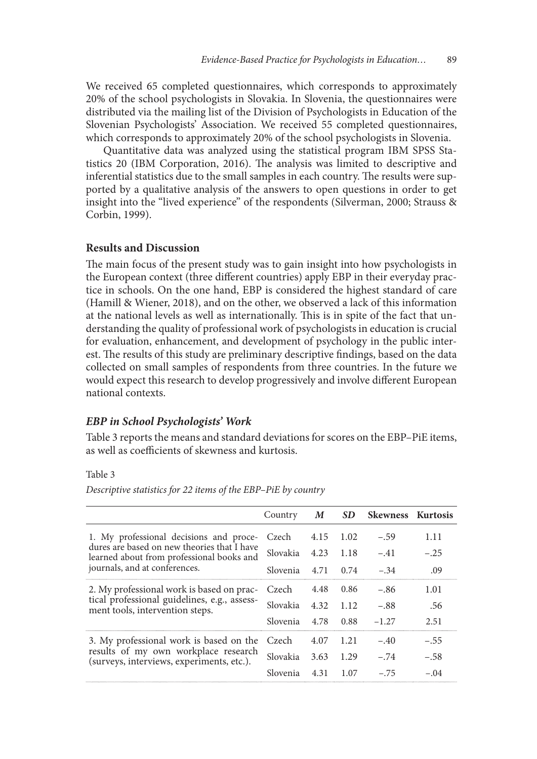We received 65 completed questionnaires, which corresponds to approximately 20% of the school psychologists in Slovakia. In Slovenia, the questionnaires were distributed via the mailing list of the Division of Psychologists in Education of the Slovenian Psychologists' Association. We received 55 completed questionnaires, which corresponds to approximately 20% of the school psychologists in Slovenia.

Quantitative data was analyzed using the statistical program IBM SPSS Statistics 20 (IBM Corporation, 2016). The analysis was limited to descriptive and inferential statistics due to the small samples in each country. The results were supported by a qualitative analysis of the answers to open questions in order to get insight into the "lived experience" of the respondents (Silverman, 2000; Strauss & Corbin, 1999).

#### **Results and Discussion**

The main focus of the present study was to gain insight into how psychologists in the European context (three diferent countries) apply EBP in their everyday practice in schools. On the one hand, EBP is considered the highest standard of care (Hamill & Wiener, 2018), and on the other, we observed a lack of this information at the national levels as well as internationally. This is in spite of the fact that understanding the quality of professional work of psychologists in education is crucial for evaluation, enhancement, and development of psychology in the public interest. The results of this study are preliminary descriptive findings, based on the data collected on small samples of respondents from three countries. In the future we would expect this research to develop progressively and involve diferent European national contexts.

#### *EBP in School Psychologists' Work*

Table 3 reports the means and standard deviations for scores on the EBP–PiE items, as well as coefficients of skewness and kurtosis.

### Table 3

*Descriptive statistics for 22 items of the EBP–PiE by country*

|                                                                                          | Country         | $\boldsymbol{M}$ |      | SD Skewness Kurtosis |        |
|------------------------------------------------------------------------------------------|-----------------|------------------|------|----------------------|--------|
| 1. My professional decisions and proce-                                                  | Czech           | 4.15             | 1.02 | $-.59$               | 1.11   |
| dures are based on new theories that I have<br>learned about from professional books and | Slovakia        | 4.23             | 1.18 | $-.41$               | $-.25$ |
| journals, and at conferences.                                                            | <b>Slovenia</b> | 4.71             | 0.74 | $-.34$               | .09    |
| 2. My professional work is based on prac-                                                | Czech           | 4.48             | 0.86 | $-.86$               | 1.01   |
| tical professional guidelines, e.g., assess-<br>ment tools, intervention steps.          | Slovakia        | 4.32             | 1.12 | $-.88$               | .56    |
|                                                                                          | Slovenia        | 4.78             | 0.88 | $-1.27$              | 2.51   |
| 3. My professional work is based on the                                                  | Czech           | 4.07             | 1.21 | $-.40$               | $-.55$ |
| results of my own workplace research<br>(surveys, interviews, experiments, etc.).        | Slovakia        | 3.63             | 1.29 | $-.74$               | $-.58$ |
|                                                                                          | Slovenia        | 4.31             | 1.07 | $-.75$               | $-04$  |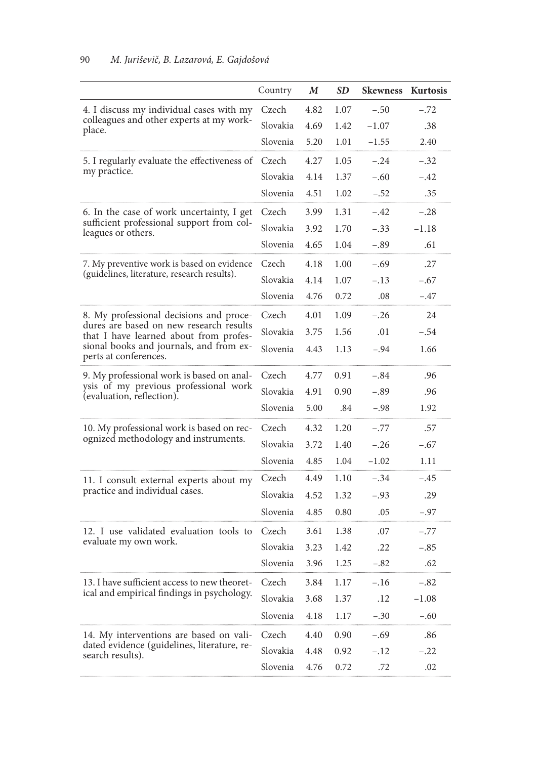|                                                                                   | Country  | $\boldsymbol{M}$ | <b>SD</b> | <b>Skewness</b> | Kurtosis |
|-----------------------------------------------------------------------------------|----------|------------------|-----------|-----------------|----------|
| 4. I discuss my individual cases with my                                          | Czech    | 4.82             | 1.07      | $-.50$          | $-.72$   |
| colleagues and other experts at my work-<br>place.                                | Slovakia | 4.69             | 1.42      | $-1.07$         | .38      |
|                                                                                   | Slovenia | 5.20             | 1.01      | $-1.55$         | 2.40     |
| 5. I regularly evaluate the effectiveness of                                      | Czech    | 4.27             | 1.05      | $-.24$          | $-.32$   |
| my practice.                                                                      | Slovakia | 4.14             | 1.37      | $-.60$          | $-.42$   |
|                                                                                   | Slovenia | 4.51             | 1.02      | $-.52$          | .35      |
| 6. In the case of work uncertainty, I get                                         | Czech    | 3.99             | 1.31      | $-.42$          | $-.28$   |
| sufficient professional support from col-<br>leagues or others.                   | Slovakia | 3.92             | 1.70      | $-.33$          | $-1.18$  |
|                                                                                   | Slovenia | 4.65             | 1.04      | $-.89$          | .61      |
| 7. My preventive work is based on evidence                                        | Czech    | 4.18             | 1.00      | $-.69$          | .27      |
| (guidelines, literature, research results).                                       | Slovakia | 4.14             | 1.07      | $-.13$          | $-.67$   |
|                                                                                   | Slovenia | 4.76             | 0.72      | .08             | $-.47$   |
| 8. My professional decisions and proce-                                           | Czech    | 4.01             | 1.09      | $-.26$          | 24       |
| dures are based on new research results<br>that I have learned about from profes- | Slovakia | 3.75             | 1.56      | .01             | $-.54$   |
| sional books and journals, and from ex-<br>perts at conferences.                  | Slovenia | 4.43             | 1.13      | $-.94$          | 1.66     |
| 9. My professional work is based on anal-                                         | Czech    | 4.77             | 0.91      | $-.84$          | .96      |
| ysis of my previous professional work<br>(evaluation, reflection).                | Slovakia | 4.91             | 0.90      | $-.89$          | .96      |
|                                                                                   | Slovenia | 5.00             | .84       | $-.98$          | 1.92     |
| 10. My professional work is based on rec-                                         | Czech    | 4.32             | 1.20      | $-.77$          | .57      |
| ognized methodology and instruments.                                              | Slovakia | 3.72             | 1.40      | $-.26$          | $-.67$   |
|                                                                                   | Slovenia | 4.85             | 1.04      | $-1.02$         | 1.11     |
| 11. I consult external experts about my                                           | Czech    | 4.49             | 1.10      | $-.34$          | $-.45$   |
| practice and individual cases.                                                    | Slovakia | 4.52             | 1.32      | $-.93$          | .29      |
|                                                                                   | Slovenia | 4.85             | 0.80      | .05             | $-.97$   |
| 12. I use validated evaluation tools to                                           | Czech    | 3.61             | 1.38      | .07             | $-.77$   |
| evaluate my own work.                                                             | Slovakia | 3.23             | 1.42      | .22             | $-.85$   |
|                                                                                   | Slovenia | 3.96             | 1.25      | $-.82$          | .62      |
| 13. I have sufficient access to new theoret-                                      | Czech    | 3.84             | 1.17      | $-.16$          | $-.82$   |
| ical and empirical findings in psychology.                                        | Slovakia | 3.68             | 1.37      | .12             | $-1.08$  |
|                                                                                   | Slovenia | 4.18             | 1.17      | $-.30$          | $-.60$   |
| 14. My interventions are based on vali-                                           | Czech    | 4.40             | 0.90      | $-.69$          | .86      |
| dated evidence (guidelines, literature, re-<br>search results).                   | Slovakia | 4.48             | 0.92      | $-.12$          | $-.22$   |
|                                                                                   | Slovenia | 4.76             | 0.72      | .72             | .02      |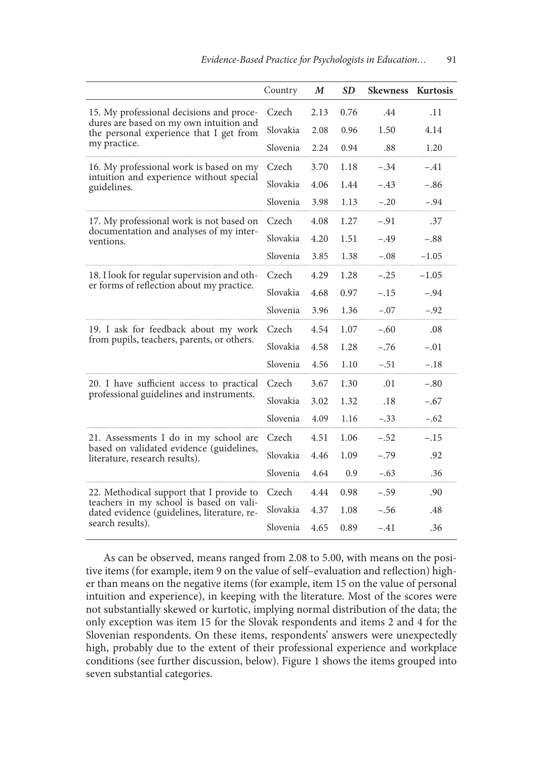|                                                                                        | Country  | $\boldsymbol{M}$ | SD   | <b>Skewness</b> | Kurtosis |
|----------------------------------------------------------------------------------------|----------|------------------|------|-----------------|----------|
| 15. My professional decisions and proce-                                               | Czech    | 2.13             | 0.76 | .44             | .11      |
| dures are based on my own intuition and<br>the personal experience that I get from     | Slovakia | 2.08             | 0.96 | 1.50            | 4.14     |
| my practice.                                                                           | Slovenia | 2.24             | 0.94 | .88             | 1.20     |
| 16. My professional work is based on my                                                | Czech    | 3.70             | 1.18 | $-.34$          | $-.41$   |
| intuition and experience without special<br>guidelines.                                | Slovakia | 4.06             | 1.44 | $-.43$          | $-.86$   |
|                                                                                        | Slovenia | 3.98             | 1.13 | $-.20$          | $-.94$   |
| 17. My professional work is not based on                                               | Czech    | 4.08             | 1.27 | $-.91$          | .37      |
| documentation and analyses of my inter-<br>ventions.                                   | Slovakia | 4.20             | 1.51 | $-.49$          | $-.88$   |
|                                                                                        | Slovenia | 3.85             | 1.38 | $-.08$          | $-1.05$  |
| 18. I look for regular supervision and oth-                                            | Czech    | 4.29             | 1.28 | $-.25$          | $-1.05$  |
| er forms of reflection about my practice.                                              | Slovakia | 4.68             | 0.97 | $-.15$          | $-.94$   |
|                                                                                        | Slovenia | 3.96             | 1.36 | $-.07$          | $-.92$   |
| 19. I ask for feedback about my work                                                   | Czech    | 4.54             | 1.07 | $-.60$          | .08      |
| from pupils, teachers, parents, or others.                                             | Slovakia | 4.58             | 1.28 | $-.76$          | $-.01$   |
|                                                                                        | Slovenia | 4.56             | 1.10 | $-.51$          | $-.18$   |
| 20. I have sufficient access to practical                                              | Czech    | 3.67             | 1.30 | .01             | $-.80$   |
| professional guidelines and instruments.                                               | Slovakia | 3.02             | 1.32 | .18             | $-.67$   |
|                                                                                        | Slovenia | 4.09             | 1.16 | $-.33$          | $-.62$   |
| 21. Assessments I do in my school are                                                  | Czech    | 4.51             | 1.06 | $-.52$          | $-.15$   |
| based on validated evidence (guidelines,<br>literature, research results).             | Slovakia | 4.46             | 1.09 | $-.79$          | .92      |
|                                                                                        | Slovenia | 4.64             | 0.9  | $-.63$          | .36      |
| 22. Methodical support that I provide to                                               | Czech    | 4.44             | 0.98 | $-.59$          | .90      |
| teachers in my school is based on vali-<br>dated evidence (guidelines, literature, re- | Slovakia | 4.37             | 1.08 | $-.56$          | .48      |
| search results).                                                                       | Slovenia | 4.65             | 0.89 | $-.41$          | .36      |

As can be observed, means ranged from 2.08 to 5.00, with means on the positive items (for example, item 9 on the value of self–evaluation and refection) higher than means on the negative items (for example, item 15 on the value of personal intuition and experience), in keeping with the literature. Most of the scores were not substantially skewed or kurtotic, implying normal distribution of the data; the only exception was item 15 for the Slovak respondents and items 2 and 4 for the Slovenian respondents. On these items, respondents' answers were unexpectedly high, probably due to the extent of their professional experience and workplace conditions (see further discussion, below). Figure 1 shows the items grouped into seven substantial categories.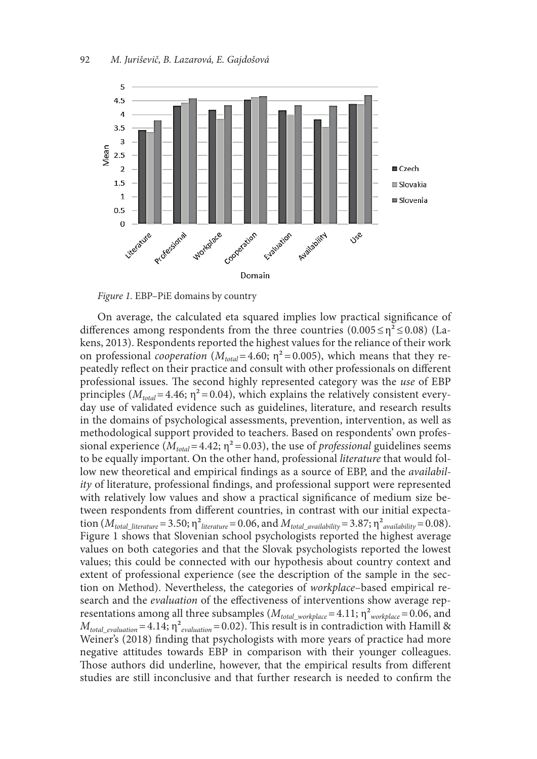



On average, the calculated eta squared implies low practical signifcance of differences among respondents from the three countries  $(0.005 \le \eta^2 \le 0.08)$  (Lakens, 2013). Respondents reported the highest values for the reliance of their work on professional *cooperation* ( $M_{total} = 4.60$ ;  $\eta^2 = 0.005$ ), which means that they repeatedly refect on their practice and consult with other professionals on diferent professional issues. The second highly represented category was the *use* of EBP principles ( $M_{total}$ =4.46;  $\eta$ <sup>2</sup>=0.04), which explains the relatively consistent everyday use of validated evidence such as guidelines, literature, and research results in the domains of psychological assessments, prevention, intervention, as well as methodological support provided to teachers. Based on respondents' own professional experience ( $M_{total}$ =4.42;  $\eta$ <sup>2</sup> = 0.03), the use of *professional* guidelines seems to be equally important. On the other hand, professional *literature* that would follow new theoretical and empirical fndings as a source of EBP, and the *availability* of literature, professional fndings, and professional support were represented with relatively low values and show a practical signifcance of medium size between respondents from diferent countries, in contrast with our initial expectation  $(M_{total\_literature}=3.50; \eta^2_{literature}=0.06$ , and  $M_{total\_availability}=3.87; \eta^2_{availability}=0.08)$ . Figure 1 shows that Slovenian school psychologists reported the highest average values on both categories and that the Slovak psychologists reported the lowest values; this could be connected with our hypothesis about country context and extent of professional experience (see the description of the sample in the section on Method). Nevertheless, the categories of *workplace*–based empirical research and the *evaluation* of the efectiveness of interventions show average representations among all three subsamples ( $M_{total\_workplace}$ =4.11;  $\eta^2_{workplace}$ =0.06, and  $M_{total\ evaluation} = 4.14$ ;  $\eta^2_{evaluation} = 0.02$ ). This result is in contradiction with Hamill & Weiner's (2018) fnding that psychologists with more years of practice had more negative attitudes towards EBP in comparison with their younger colleagues. Those authors did underline, however, that the empirical results from different studies are still inconclusive and that further research is needed to confrm the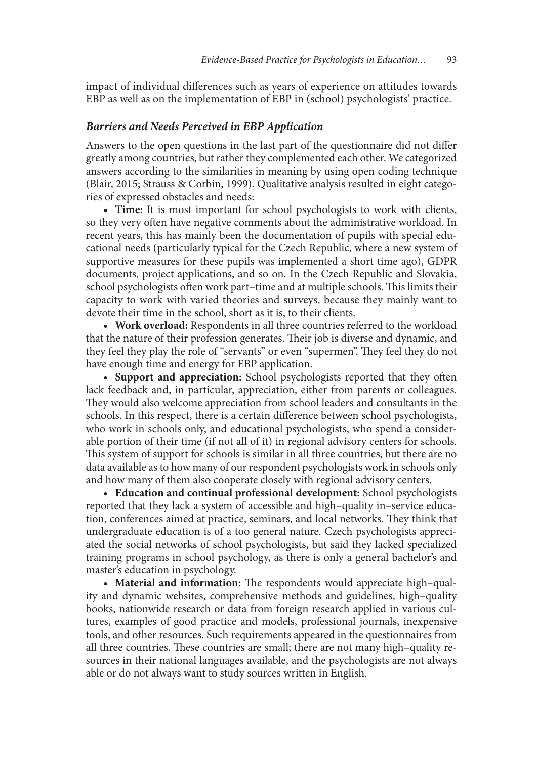impact of individual diferences such as years of experience on attitudes towards EBP as well as on the implementation of EBP in (school) psychologists' practice.

#### *Barriers and Needs Perceived in EBP Application*

Answers to the open questions in the last part of the questionnaire did not difer greatly among countries, but rather they complemented each other. We categorized answers according to the similarities in meaning by using open coding technique (Blair, 2015; Strauss & Corbin, 1999). Qualitative analysis resulted in eight categories of expressed obstacles and needs:

• Time: It is most important for school psychologists to work with clients, so they very often have negative comments about the administrative workload. In recent years, this has mainly been the documentation of pupils with special educational needs (particularly typical for the Czech Republic, where a new system of supportive measures for these pupils was implemented a short time ago), GDPR documents, project applications, and so on. In the Czech Republic and Slovakia, school psychologists often work part–time and at multiple schools. This limits their capacity to work with varied theories and surveys, because they mainly want to devote their time in the school, short as it is, to their clients.

• Work overload: Respondents in all three countries referred to the workload that the nature of their profession generates. Their job is diverse and dynamic, and they feel they play the role of "servants" or even "supermen". They feel they do not have enough time and energy for EBP application.

• **Support and appreciation:** School psychologists reported that they often lack feedback and, in particular, appreciation, either from parents or colleagues. They would also welcome appreciation from school leaders and consultants in the schools. In this respect, there is a certain diference between school psychologists, who work in schools only, and educational psychologists, who spend a considerable portion of their time (if not all of it) in regional advisory centers for schools. This system of support for schools is similar in all three countries, but there are no data available as to how many of our respondent psychologists work in schools only and how many of them also cooperate closely with regional advisory centers.

**• Education and continual professional development:** School psychologists reported that they lack a system of accessible and high–quality in–service education, conferences aimed at practice, seminars, and local networks. They think that undergraduate education is of a too general nature. Czech psychologists appreciated the social networks of school psychologists, but said they lacked specialized training programs in school psychology, as there is only a general bachelor's and master's education in psychology.

**• Material and information:** The respondents would appreciate high-quality and dynamic websites, comprehensive methods and guidelines, high–quality books, nationwide research or data from foreign research applied in various cultures, examples of good practice and models, professional journals, inexpensive tools, and other resources. Such requirements appeared in the questionnaires from all three countries. These countries are small; there are not many high-quality resources in their national languages available, and the psychologists are not always able or do not always want to study sources written in English.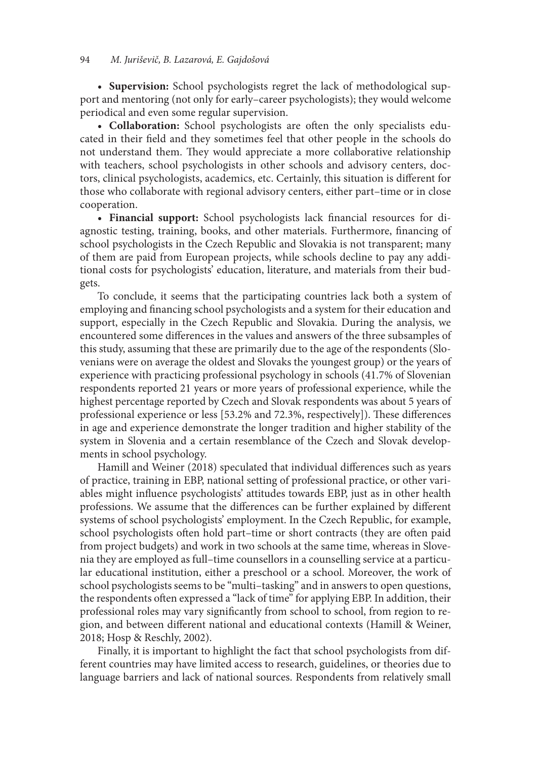#### 94 *M. Juri*š*evi*č*, B. Lazarová, E. Gajdo*š*ová*

• Supervision: School psychologists regret the lack of methodological support and mentoring (not only for early–career psychologists); they would welcome periodical and even some regular supervision.

• Collaboration: School psychologists are often the only specialists educated in their feld and they sometimes feel that other people in the schools do not understand them. They would appreciate a more collaborative relationship with teachers, school psychologists in other schools and advisory centers, doctors, clinical psychologists, academics, etc. Certainly, this situation is diferent for those who collaborate with regional advisory centers, either part–time or in close cooperation.

**• Financial support:** School psychologists lack financial resources for diagnostic testing, training, books, and other materials. Furthermore, fnancing of school psychologists in the Czech Republic and Slovakia is not transparent; many of them are paid from European projects, while schools decline to pay any additional costs for psychologists' education, literature, and materials from their budgets.

To conclude, it seems that the participating countries lack both a system of employing and fnancing school psychologists and a system for their education and support, especially in the Czech Republic and Slovakia. During the analysis, we encountered some diferences in the values and answers of the three subsamples of this study, assuming that these are primarily due to the age of the respondents (Slovenians were on average the oldest and Slovaks the youngest group) or the years of experience with practicing professional psychology in schools (41.7% of Slovenian respondents reported 21 years or more years of professional experience, while the highest percentage reported by Czech and Slovak respondents was about 5 years of professional experience or less [53.2% and 72.3%, respectively]). These differences in age and experience demonstrate the longer tradition and higher stability of the system in Slovenia and a certain resemblance of the Czech and Slovak developments in school psychology.

Hamill and Weiner (2018) speculated that individual diferences such as years of practice, training in EBP, national setting of professional practice, or other variables might infuence psychologists' attitudes towards EBP, just as in other health professions. We assume that the diferences can be further explained by diferent systems of school psychologists' employment. In the Czech Republic, for example, school psychologists often hold part–time or short contracts (they are often paid from project budgets) and work in two schools at the same time, whereas in Slovenia they are employed as full–time counsellors in a counselling service at a particular educational institution, either a preschool or a school. Moreover, the work of school psychologists seems to be "multi–tasking" and in answers to open questions, the respondents often expressed a "lack of time" for applying EBP. In addition, their professional roles may vary signifcantly from school to school, from region to region, and between diferent national and educational contexts (Hamill & Weiner, 2018; Hosp & Reschly, 2002).

Finally, it is important to highlight the fact that school psychologists from different countries may have limited access to research, guidelines, or theories due to language barriers and lack of national sources. Respondents from relatively small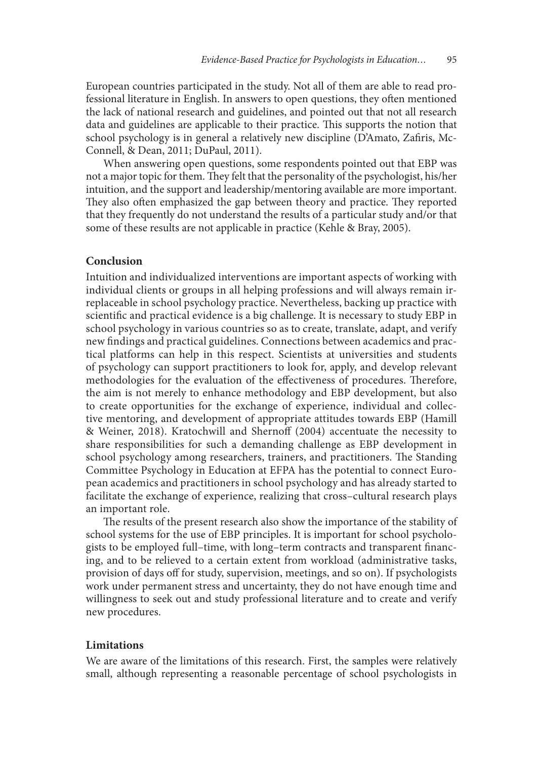European countries participated in the study. Not all of them are able to read professional literature in English. In answers to open questions, they often mentioned the lack of national research and guidelines, and pointed out that not all research data and guidelines are applicable to their practice. This supports the notion that school psychology is in general a relatively new discipline (D'Amato, Zafris, Mc-Connell, & Dean, 2011; DuPaul, 2011).

When answering open questions, some respondents pointed out that EBP was not a major topic for them. They felt that the personality of the psychologist, his/her intuition, and the support and leadership/mentoring available are more important. They also often emphasized the gap between theory and practice. They reported that they frequently do not understand the results of a particular study and/or that some of these results are not applicable in practice (Kehle & Bray, 2005).

#### **Conclusion**

Intuition and individualized interventions are important aspects of working with individual clients or groups in all helping professions and will always remain irreplaceable in school psychology practice. Nevertheless, backing up practice with scientifc and practical evidence is a big challenge. It is necessary to study EBP in school psychology in various countries so as to create, translate, adapt, and verify new fndings and practical guidelines. Connections between academics and practical platforms can help in this respect. Scientists at universities and students of psychology can support practitioners to look for, apply, and develop relevant methodologies for the evaluation of the effectiveness of procedures. Therefore, the aim is not merely to enhance methodology and EBP development, but also to create opportunities for the exchange of experience, individual and collective mentoring, and development of appropriate attitudes towards EBP (Hamill & Weiner, 2018). Kratochwill and Shernoff (2004) accentuate the necessity to share responsibilities for such a demanding challenge as EBP development in school psychology among researchers, trainers, and practitioners. The Standing Committee Psychology in Education at EFPA has the potential to connect European academics and practitioners in school psychology and has already started to facilitate the exchange of experience, realizing that cross–cultural research plays an important role.

The results of the present research also show the importance of the stability of school systems for the use of EBP principles. It is important for school psychologists to be employed full–time, with long–term contracts and transparent fnancing, and to be relieved to a certain extent from workload (administrative tasks, provision of days off for study, supervision, meetings, and so on). If psychologists work under permanent stress and uncertainty, they do not have enough time and willingness to seek out and study professional literature and to create and verify new procedures.

#### **Limitations**

We are aware of the limitations of this research. First, the samples were relatively small, although representing a reasonable percentage of school psychologists in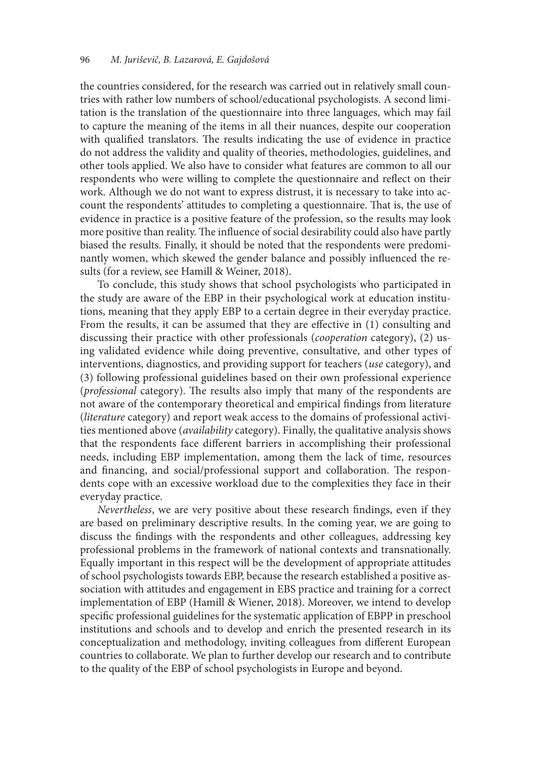the countries considered, for the research was carried out in relatively small countries with rather low numbers of school/educational psychologists. A second limitation is the translation of the questionnaire into three languages, which may fail to capture the meaning of the items in all their nuances, despite our cooperation with qualified translators. The results indicating the use of evidence in practice do not address the validity and quality of theories, methodologies, guidelines, and other tools applied. We also have to consider what features are common to all our respondents who were willing to complete the questionnaire and refect on their work. Although we do not want to express distrust, it is necessary to take into account the respondents' attitudes to completing a questionnaire. That is, the use of evidence in practice is a positive feature of the profession, so the results may look more positive than reality. The influence of social desirability could also have partly biased the results. Finally, it should be noted that the respondents were predominantly women, which skewed the gender balance and possibly infuenced the results (for a review, see Hamill & Weiner, 2018).

To conclude, this study shows that school psychologists who participated in the study are aware of the EBP in their psychological work at education institutions, meaning that they apply EBP to a certain degree in their everyday practice. From the results, it can be assumed that they are efective in (1) consulting and discussing their practice with other professionals (*cooperation* category), (2) using validated evidence while doing preventive, consultative, and other types of interventions, diagnostics, and providing support for teachers (*use* category), and (3) following professional guidelines based on their own professional experience (*professional* category). The results also imply that many of the respondents are not aware of the contemporary theoretical and empirical fndings from literature (*literature* category) and report weak access to the domains of professional activities mentioned above (*availability* category). Finally, the qualitative analysis shows that the respondents face diferent barriers in accomplishing their professional needs, including EBP implementation, among them the lack of time, resources and financing, and social/professional support and collaboration. The respondents cope with an excessive workload due to the complexities they face in their everyday practice.

*Nevertheless*, we are very positive about these research fndings, even if they are based on preliminary descriptive results. In the coming year, we are going to discuss the fndings with the respondents and other colleagues, addressing key professional problems in the framework of national contexts and transnationally. Equally important in this respect will be the development of appropriate attitudes of school psychologists towards EBP, because the research established a positive association with attitudes and engagement in EBS practice and training for a correct implementation of EBP (Hamill & Wiener, 2018). Moreover, we intend to develop specifc professional guidelines for the systematic application of EBPP in preschool institutions and schools and to develop and enrich the presented research in its conceptualization and methodology, inviting colleagues from diferent European countries to collaborate. We plan to further develop our research and to contribute to the quality of the EBP of school psychologists in Europe and beyond.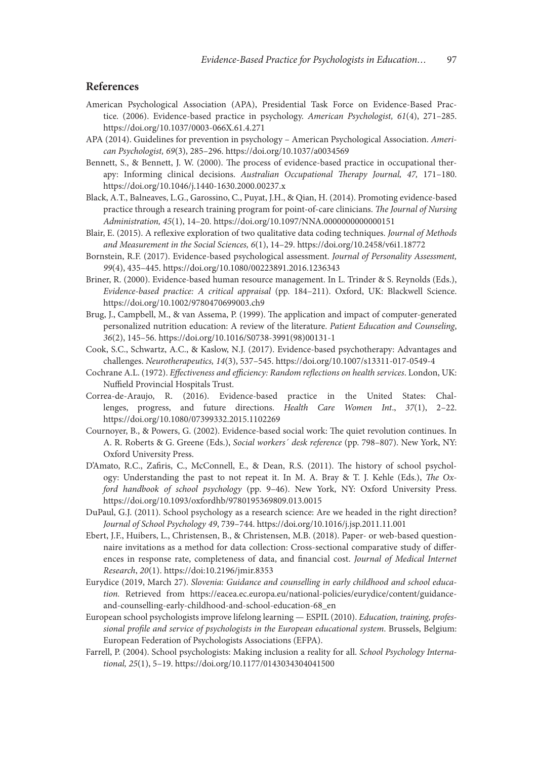#### **References**

- American Psychological Association (APA), Presidential Task Force on Evidence-Based Practice. (2006). Evidence-based practice in psychology. *American Psychologist, 61*(4), 271–285. https://doi.org/10.1037/0003-066X.61.4.271
- APA (2014). Guidelines for prevention in psychology American Psychological Association. *American Psychologist, 69*(3), 285–296. https://doi.org/10.1037/a0034569
- Bennett, S., & Bennett, J. W. (2000). The process of evidence-based practice in occupational therapy: Informing clinical decisions. Australian Occupational Therapy Journal, 47, 171-180. https://doi.org/10.1046/j.1440-1630.2000.00237.x
- Black, A.T., Balneaves, L.G., Garossino, C., Puyat, J.H., & Qian, H. (2014). Promoting evidence-based practice through a research training program for point-of-care clinicians. T*e Journal of Nursing Administration, 45*(1), 14–20. https://doi.org/10.1097/NNA.0000000000000151
- Blair, E. (2015). A refexive exploration of two qualitative data coding techniques. *Journal of Methods and Measurement in the Social Sciences, 6*(1), 14–29. https://doi.org/10.2458/v6i1.18772
- Bornstein, R.F. (2017). Evidence-based psychological assessment. *Journal of Personality Assessment, 9 9*(4), 435–445. https://doi.org/10.1080/00223891.2016.1236343
- Briner, R. (2000). Evidence-based human resource management. In L. Trinder & S. Reynolds (Eds.), *Evidence-based practice: A critical appraisal* (pp. 184–211). Oxford, UK: Blackwell Science. https://doi.org/10.1002/9780470699003.ch9
- Brug, J., Campbell, M., & van Assema, P. (1999). The application and impact of computer-generated personalized nutrition education: A review of the literature. *Patient Education and Counseling*, *36*(2), 145–56. https://doi.org/10.1016/S0738-3991(98)00131-1
- Cook, S.C., Schwartz, A.C., & Kaslow, N.J. (2017). Evidence-based psychotherapy: Advantages and challenges. *Neurotherapeutics, 14*(3), 537–545. https://doi.org/10.1007/s13311-017-0549-4
- Cochrane A.L. (1972). *E*f*ectiveness and e*f*ciency: Random re*f*ections on health services*. London, UK: Nuffield Provincial Hospitals Trust.
- Correa-de-Araujo, R. (2016). Evidence-based practice in the United States: Challenges, progress, and future directions. *Health Care Women Int*., *37*(1), 2–22. https://doi.org/10.1080/07399332.2015.1102269
- Cournoyer, B., & Powers, G. (2002). Evidence-based social work: The quiet revolution continues. In A. R. Roberts & G. Greene (Eds.), *Social workers´ desk reference* (pp. 798–807). New York, NY: Oxford University Press.
- D'Amato, R.C., Zafiris, C., McConnell, E., & Dean, R.S. (2011). The history of school psychology: Understanding the past to not repeat it. In M. A. Bray & T. J. Kehle (Eds.), T*e Oxford handbook of school psychology* (pp. 9–46). New York, NY: Oxford University Press. https://doi.org/10.1093/oxfordhb/9780195369809.013.0015
- DuPaul, G.J. (2011). School psychology as a research science: Are we headed in the right direction? *Journal of School Psychology 49*, 739–744. https://doi.org/10.1016/j.jsp.2011.11.001
- Ebert, J.F., Huibers, L., Christensen, B., & Christensen, M.B. (2018). Paper- or web-based questionnaire invitations as a method for data collection: Cross-sectional comparative study of diferences in response rate, completeness of data, and fnancial cost. *Journal of Medical Internet Research*, *20*(1). https://doi:10.2196/jmir.8353
- Eurydice (2019, March 27). *Slovenia: Guidance and counselling in early childhood and school education.* Retrieved from https://eacea.ec.europa.eu/national-policies/eurydice/content/guidanceand-counselling-early-childhood-and-school-education-68\_en
- European school psychologists improve lifelong learning ESPIL (2010). *Education, training, professional pro*f*le and service of psychologists in the European educational system*. Brussels, Belgium: European Federation of Psychologists Associations (EFPA).
- Farrell, P. (2004). School psychologists: Making inclusion a reality for all. *School Psychology International, 25*(1), 5–19. https://doi.org/10.1177/0143034304041500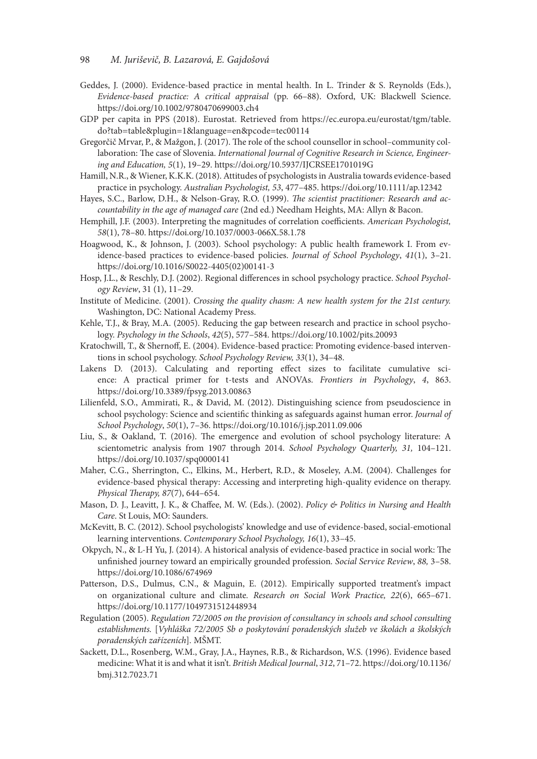- Geddes, J. (2000). Evidence-based practice in mental health. In L. Trinder & S. Reynolds (Eds.), *Evidence-based practice: A critical appraisal* (pp. 66–88). Oxford, UK: Blackwell Science. https://doi.org/10.1002/9780470699003.ch4
- GDP per capita in PPS (2018). Eurostat. Retrieved from https://ec.europa.eu/eurostat/tgm/table. do?tab=table&plugin=1&language=en&pcode=tec00114
- Gregorčič Mrvar, P., & Mažgon, J. (2017). The role of the school counsellor in school–community collaboration: The case of Slovenia. *International Journal of Cognitive Research in Science, Engineering and Education, 5*(1), 19–29. https://doi.org/10.5937/IJCRSEE1701019G
- Hamill, N.R., & Wiener, K.K.K. (2018). Attitudes of psychologists in Australia towards evidence-based practice in psychology. *Australian Psychologist, 53*, 477–485. https://doi.org/10.1111/ap.12342
- Hayes, S.C., Barlow, D.H., & Nelson-Gray, R.O. (1999). T*e scientist practitioner: Research and accountability in the age of managed care* (2nd ed.) Needham Heights, MA: Allyn & Bacon.
- Hemphill, J.F. (2003). Interpreting the magnitudes of correlation coefficients. American Psychologist, *58*(1), 78–80. https://doi.org/10.1037/0003-066X.58.1.78
- Hoagwood, K., & Johnson, J. (2003). School psychology: A public health framework I. From evidence-based practices to evidence-based policies. *Journal of School Psychology*, *41*(1), 3–21. https://doi.org/10.1016/S0022-4405(02)00141-3
- Hosp, J.L., & Reschly, D.J. (2002). Regional diferences in school psychology practice. *School Psychology Review*, 31 (1), 11–29.
- Institute of Medicine. (2001). *Crossing the quality chasm: A new health system for the 21st century.* Washington, DC: National Academy Press.
- Kehle, T.J., & Bray, M.A. (2005). Reducing the gap between research and practice in school psychology. *Psychology in the Schools*, *42*(5), 577–584. https://doi.org/10.1002/pits.20093
- Kratochwill, T., & Shernof, E. (2004). Evidence-based practice: Promoting evidence-based interventions in school psychology. *School Psychology Review, 33*(1), 34–48.
- Lakens D. (2013). Calculating and reporting effect sizes to facilitate cumulative science: A practical primer for t-tests and ANOVAs. *Frontiers in Psychology*, *4*, 863. https://doi.org/10.3389/fpsyg.2013.00863
- Lilienfeld, S.O., Ammirati, R., & David, M. (2012). Distinguishing science from pseudoscience in school psychology: Science and scientifc thinking as safeguards against human error. *Journal of School Psychology*, *50*(1), 7–36. https://doi.org/10.1016/j.jsp.2011.09.006
- Liu, S., & Oakland, T. (2016). The emergence and evolution of school psychology literature: A scientometric analysis from 1907 through 2014. *School Psychology Quarterly, 31,* 104–121. https://doi.org/10.1037/spq0000141
- Maher, C.G., Sherrington, C., Elkins, M., Herbert, R.D., & Moseley, A.M. (2004). Challenges for evidence-based physical therapy: Accessing and interpreting high-quality evidence on therapy. *Physical Therapy, 87(7), 644-654.*
- Mason, D. J., Leavitt, J. K., & Chafee, M. W. (Eds.). (2002). *Policy & Politics in Nursing and Health Care*. St Louis, MO: Saunders.
- McKevitt, B. C. (2012). School psychologists' knowledge and use of evidence-based, social-emotional learning interventions. *Contemporary School Psychology, 16*(1), 33–45.
- Okpych, N., & L-H Yu, J. (2014). A historical analysis of evidence-based practice in social work: The unfnished journey toward an empirically grounded profession*. Social Service Review*, *88,* 3–58. https://doi.org/10.1086/674969
- Patterson, D.S., Dulmus, C.N., & Maguin, E. (2012). Empirically supported treatment's impact on organizational culture and climate*. Research on Social Work Practice, 22*(6), 665–671. https://doi.org/10.1177/1049731512448934
- Regulation (2005). *Regulation 72/2005 on the provision of consultancy in schools and school consulting establishments.* [*Vyhlá*š*ka 72/2005 Sb o poskytování poradensk*ý*ch slu*ž*eb ve* š*kolách a* š*kolsk*ý*ch poradensk*ý*ch za*ř*ízeních*]*.* MŠMT.
- Sackett, D.L., Rosenberg, W.M., Gray, J.A., Haynes, R.B., & Richardson, W.S. (1996). Evidence based medicine: What it is and what it isn't. *British Medical Journal*, *312*, 71–72. https://doi.org/10.1136/ bmj.312.7023.71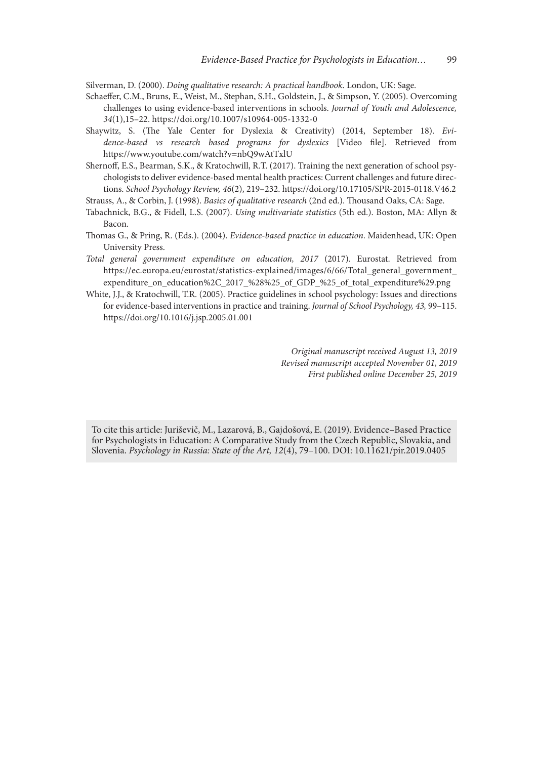Silverman, D. (2000). *Doing qualitative research: A practical handbook*. London, UK: Sage.

- Schaeffer, C.M., Bruns, E., Weist, M., Stephan, S.H., Goldstein, J., & Simpson, Y. (2005). Overcoming challenges to using evidence-based interventions in schools. *Journal of Youth and Adolescence, 34*(1),15–22. https://doi.org/10.1007/s10964-005-1332-0
- Shaywitz, S. (The Yale Center for Dyslexia & Creativity) (2014, September 18). *Evidence-based vs research based programs for dyslexics* [Video fle]. Retrieved from https://www.youtube.com/watch?v=nbQ9wAtTxlU

Shernoff, E.S., Bearman, S.K., & Kratochwill, R.T. (2017). Training the next generation of school psychologists to deliver evidence-based mental health practices: Current challenges and future directions. *School Psychology Review, 46*(2), 219–232. https://doi.org/10.17105/SPR-2015-0118.V46.2

Strauss, A., & Corbin, J. (1998). *Basics of qualitative research* (2nd ed.). Tousand Oaks, CA: Sage.

- Tabachnick, B.G., & Fidell, L.S. (2007). *Using multivariate statistics* (5th ed.). Boston, MA: Allyn & Bacon.
- Tomas G., & Pring, R. (Eds.). (2004). *Evidence-based practice in education*. Maidenhead, UK: Open University Press.
- *Total general government expenditure on education, 2017* (2017). Eurostat. Retrieved from https://ec.europa.eu/eurostat/statistics-explained/images/6/66/Total\_general\_government\_ expenditure on education%2C\_2017\_%28%25\_of\_GDP\_%25\_of\_total\_expenditure%29.png
- White, J.J., & Kratochwill, T.R. (2005). Practice guidelines in school psychology: Issues and directions for evidence-based interventions in practice and training. *Journal of School Psychology, 43,* 99–115. https://doi.org/10.1016/j.jsp.2005.01.001

*Original manuscript received August 13, 2019 Revised manuscript accepted November 01, 2019 First published online December 25, 2019*

To cite this article: Juriševič, M., Lazarová, B., Gajdošová, E. (2019). Evidence–Based Practice for Psychologists in Education: A Comparative Study from the Czech Republic, Slovakia, and Slovenia. *Psychology in Russia: State of the Art, 12*(4), 79–100. DOI: 10.11621/pir.2019.0405